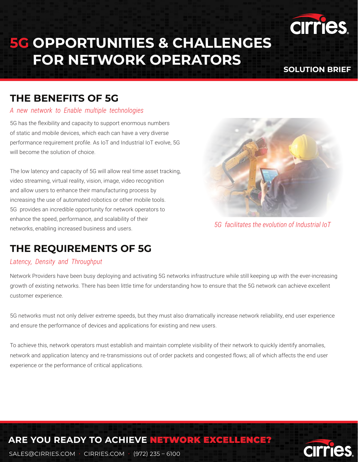# **5G OPPORTUNITIES & CHALLENGES FOR NETWORK OPERATORS**

#### **SOLUTION BRIEF**

**CIrr** 

cirries.

### **THE BENEFITS OF 5G**

#### *A new network to Enable multiple technologies*

5G has the flexibility and capacity to support enormous numbers of static and mobile devices, which each can have a very diverse performance requirement profile. As IoT and Industrial IoT evolve, 5G will become the solution of choice.

The low latency and capacity of 5G will allow real time asset tracking, video streaming, virtual reality, vision, image, video recognition and allow users to enhance their manufacturing process by increasing the use of automated robotics or other mobile tools. 5G provides an incredible opportunity for network operators to enhance the speed, performance, and scalability of their networks, enabling increased business and users.



*5G facilitates the evolution of Industrial IoT*

## **THE REQUIREMENTS OF 5G**

#### *Latency, Density and Throughput*

Network Providers have been busy deploying and activating 5G networks infrastructure while still keeping up with the ever-increasing growth of existing networks. There has been little time for understanding how to ensure that the 5G network can achieve excellent customer experience.

5G networks must not only deliver extreme speeds, but they must also dramatically increase network reliability, end user experience and ensure the performance of devices and applications for existing and new users.

To achieve this, network operators must establish and maintain complete visibility of their network to quickly identify anomalies, network and application latency and re-transmissions out of order packets and congested flows; all of which affects the end user experience or the performance of critical applications.

# **ARE YOU READY TO ACHIEVE** NETWORK EXCELLENCE?